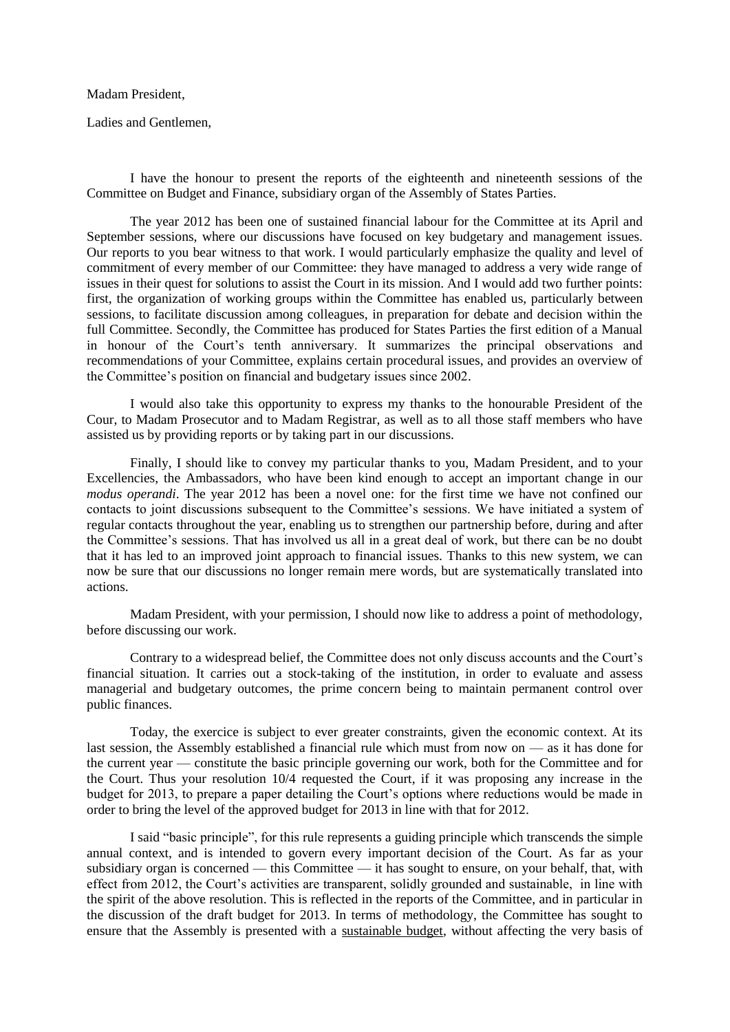## Madam President,

Ladies and Gentlemen,

I have the honour to present the reports of the eighteenth and nineteenth sessions of the Committee on Budget and Finance, subsidiary organ of the Assembly of States Parties.

The year 2012 has been one of sustained financial labour for the Committee at its April and September sessions, where our discussions have focused on key budgetary and management issues. Our reports to you bear witness to that work. I would particularly emphasize the quality and level of commitment of every member of our Committee: they have managed to address a very wide range of issues in their quest for solutions to assist the Court in its mission. And I would add two further points: first, the organization of working groups within the Committee has enabled us, particularly between sessions, to facilitate discussion among colleagues, in preparation for debate and decision within the full Committee. Secondly, the Committee has produced for States Parties the first edition of a Manual in honour of the Court's tenth anniversary. It summarizes the principal observations and recommendations of your Committee, explains certain procedural issues, and provides an overview of the Committee's position on financial and budgetary issues since 2002.

I would also take this opportunity to express my thanks to the honourable President of the Cour, to Madam Prosecutor and to Madam Registrar, as well as to all those staff members who have assisted us by providing reports or by taking part in our discussions.

Finally, I should like to convey my particular thanks to you, Madam President, and to your Excellencies, the Ambassadors, who have been kind enough to accept an important change in our *modus operandi*. The year 2012 has been a novel one: for the first time we have not confined our contacts to joint discussions subsequent to the Committee's sessions. We have initiated a system of regular contacts throughout the year, enabling us to strengthen our partnership before, during and after the Committee's sessions. That has involved us all in a great deal of work, but there can be no doubt that it has led to an improved joint approach to financial issues. Thanks to this new system, we can now be sure that our discussions no longer remain mere words, but are systematically translated into actions.

Madam President, with your permission, I should now like to address a point of methodology, before discussing our work.

Contrary to a widespread belief, the Committee does not only discuss accounts and the Court's financial situation. It carries out a stock-taking of the institution, in order to evaluate and assess managerial and budgetary outcomes, the prime concern being to maintain permanent control over public finances.

Today, the exercice is subject to ever greater constraints, given the economic context. At its last session, the Assembly established a financial rule which must from now on — as it has done for the current year — constitute the basic principle governing our work, both for the Committee and for the Court. Thus your resolution 10/4 requested the Court, if it was proposing any increase in the budget for 2013, to prepare a paper detailing the Court's options where reductions would be made in order to bring the level of the approved budget for 2013 in line with that for 2012.

I said "basic principle", for this rule represents a guiding principle which transcends the simple annual context, and is intended to govern every important decision of the Court. As far as your subsidiary organ is concerned — this Committee — it has sought to ensure, on your behalf, that, with effect from 2012, the Court's activities are transparent, solidly grounded and sustainable, in line with the spirit of the above resolution. This is reflected in the reports of the Committee, and in particular in the discussion of the draft budget for 2013. In terms of methodology, the Committee has sought to ensure that the Assembly is presented with a sustainable budget, without affecting the very basis of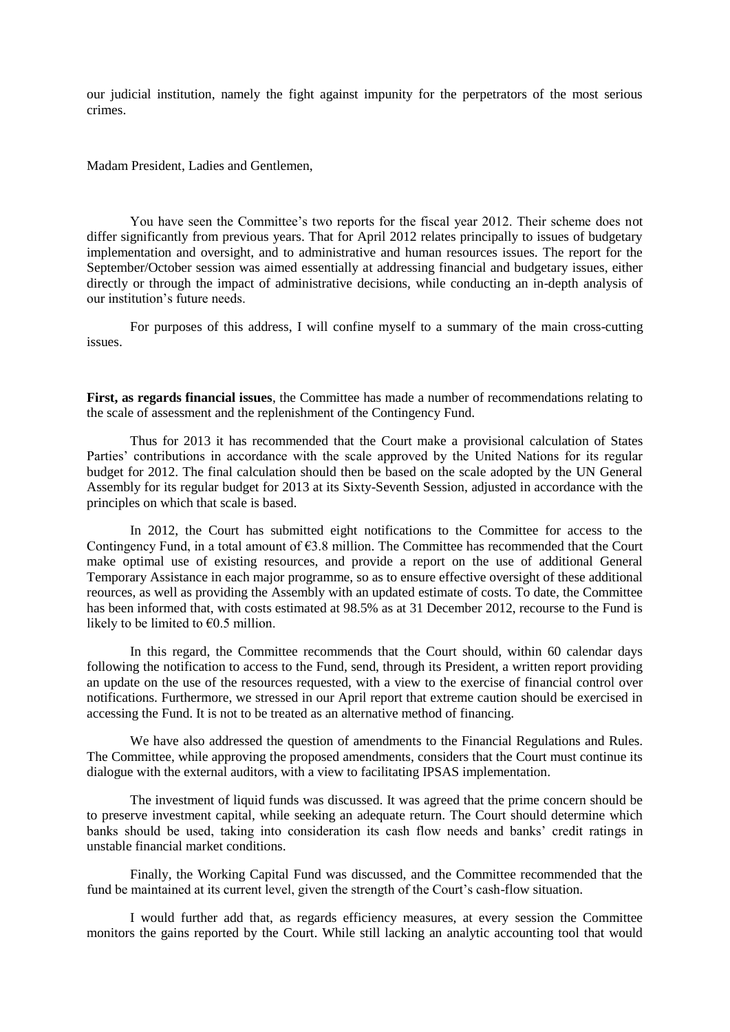our judicial institution, namely the fight against impunity for the perpetrators of the most serious crimes.

Madam President, Ladies and Gentlemen,

You have seen the Committee's two reports for the fiscal year 2012. Their scheme does not differ significantly from previous years. That for April 2012 relates principally to issues of budgetary implementation and oversight, and to administrative and human resources issues. The report for the September/October session was aimed essentially at addressing financial and budgetary issues, either directly or through the impact of administrative decisions, while conducting an in-depth analysis of our institution's future needs.

For purposes of this address, I will confine myself to a summary of the main cross-cutting issues.

**First, as regards financial issues**, the Committee has made a number of recommendations relating to the scale of assessment and the replenishment of the Contingency Fund.

Thus for 2013 it has recommended that the Court make a provisional calculation of States Parties' contributions in accordance with the scale approved by the United Nations for its regular budget for 2012. The final calculation should then be based on the scale adopted by the UN General Assembly for its regular budget for 2013 at its Sixty-Seventh Session, adjusted in accordance with the principles on which that scale is based.

In 2012, the Court has submitted eight notifications to the Committee for access to the Contingency Fund, in a total amount of  $63.8$  million. The Committee has recommended that the Court make optimal use of existing resources, and provide a report on the use of additional General Temporary Assistance in each major programme, so as to ensure effective oversight of these additional reources, as well as providing the Assembly with an updated estimate of costs. To date, the Committee has been informed that, with costs estimated at 98.5% as at 31 December 2012, recourse to the Fund is likely to be limited to  $\epsilon$ 0.5 million.

In this regard, the Committee recommends that the Court should, within 60 calendar days following the notification to access to the Fund, send, through its President, a written report providing an update on the use of the resources requested, with a view to the exercise of financial control over notifications. Furthermore, we stressed in our April report that extreme caution should be exercised in accessing the Fund. It is not to be treated as an alternative method of financing.

We have also addressed the question of amendments to the Financial Regulations and Rules. The Committee, while approving the proposed amendments, considers that the Court must continue its dialogue with the external auditors, with a view to facilitating IPSAS implementation.

The investment of liquid funds was discussed. It was agreed that the prime concern should be to preserve investment capital, while seeking an adequate return. The Court should determine which banks should be used, taking into consideration its cash flow needs and banks' credit ratings in unstable financial market conditions.

Finally, the Working Capital Fund was discussed, and the Committee recommended that the fund be maintained at its current level, given the strength of the Court's cash-flow situation.

I would further add that, as regards efficiency measures, at every session the Committee monitors the gains reported by the Court. While still lacking an analytic accounting tool that would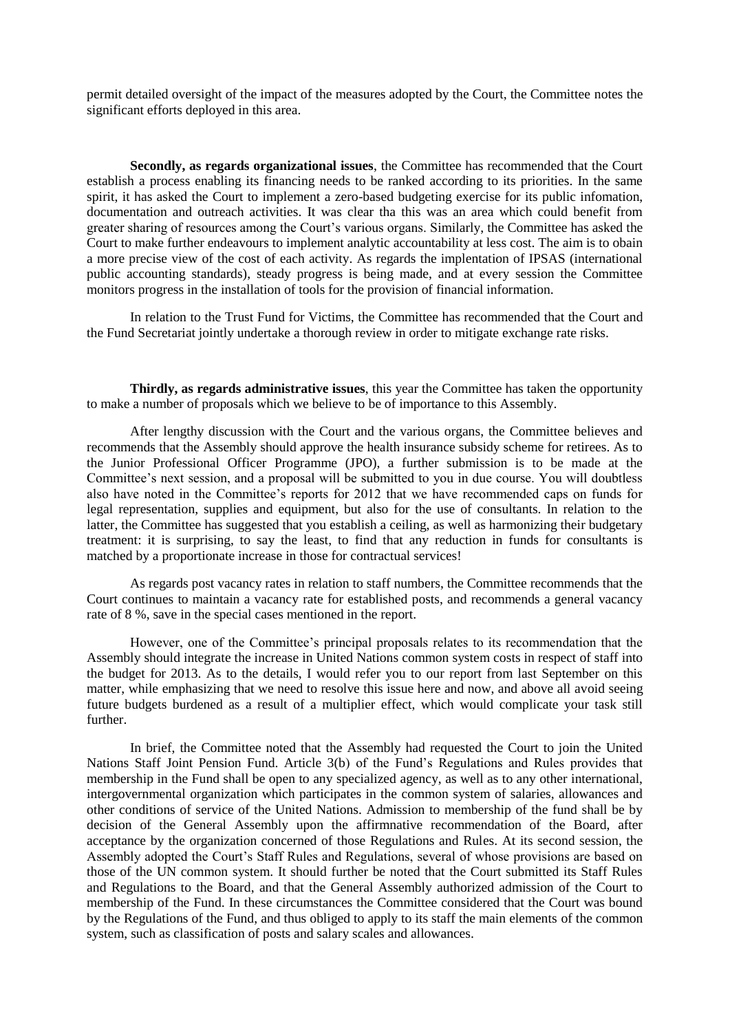permit detailed oversight of the impact of the measures adopted by the Court, the Committee notes the significant efforts deployed in this area.

**Secondly, as regards organizational issues**, the Committee has recommended that the Court establish a process enabling its financing needs to be ranked according to its priorities. In the same spirit, it has asked the Court to implement a zero-based budgeting exercise for its public infomation, documentation and outreach activities. It was clear tha this was an area which could benefit from greater sharing of resources among the Court's various organs. Similarly, the Committee has asked the Court to make further endeavours to implement analytic accountability at less cost. The aim is to obain a more precise view of the cost of each activity. As regards the implentation of IPSAS (international public accounting standards), steady progress is being made, and at every session the Committee monitors progress in the installation of tools for the provision of financial information.

In relation to the Trust Fund for Victims, the Committee has recommended that the Court and the Fund Secretariat jointly undertake a thorough review in order to mitigate exchange rate risks.

**Thirdly, as regards administrative issues**, this year the Committee has taken the opportunity to make a number of proposals which we believe to be of importance to this Assembly.

After lengthy discussion with the Court and the various organs, the Committee believes and recommends that the Assembly should approve the health insurance subsidy scheme for retirees. As to the Junior Professional Officer Programme (JPO), a further submission is to be made at the Committee's next session, and a proposal will be submitted to you in due course. You will doubtless also have noted in the Committee's reports for 2012 that we have recommended caps on funds for legal representation, supplies and equipment, but also for the use of consultants. In relation to the latter, the Committee has suggested that you establish a ceiling, as well as harmonizing their budgetary treatment: it is surprising, to say the least, to find that any reduction in funds for consultants is matched by a proportionate increase in those for contractual services!

As regards post vacancy rates in relation to staff numbers, the Committee recommends that the Court continues to maintain a vacancy rate for established posts, and recommends a general vacancy rate of 8 %, save in the special cases mentioned in the report.

However, one of the Committee's principal proposals relates to its recommendation that the Assembly should integrate the increase in United Nations common system costs in respect of staff into the budget for 2013. As to the details, I would refer you to our report from last September on this matter, while emphasizing that we need to resolve this issue here and now, and above all avoid seeing future budgets burdened as a result of a multiplier effect, which would complicate your task still further.

In brief, the Committee noted that the Assembly had requested the Court to join the United Nations Staff Joint Pension Fund. Article 3(b) of the Fund's Regulations and Rules provides that membership in the Fund shall be open to any specialized agency, as well as to any other international, intergovernmental organization which participates in the common system of salaries, allowances and other conditions of service of the United Nations. Admission to membership of the fund shall be by decision of the General Assembly upon the affirmnative recommendation of the Board, after acceptance by the organization concerned of those Regulations and Rules. At its second session, the Assembly adopted the Court's Staff Rules and Regulations, several of whose provisions are based on those of the UN common system. It should further be noted that the Court submitted its Staff Rules and Regulations to the Board, and that the General Assembly authorized admission of the Court to membership of the Fund. In these circumstances the Committee considered that the Court was bound by the Regulations of the Fund, and thus obliged to apply to its staff the main elements of the common system, such as classification of posts and salary scales and allowances.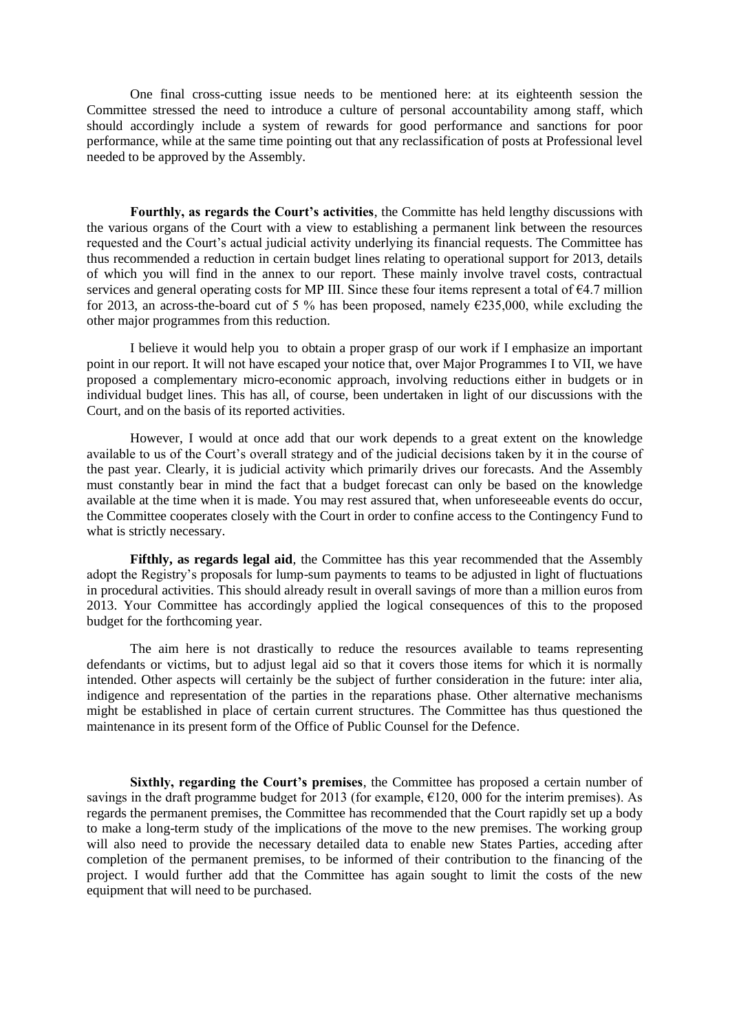One final cross-cutting issue needs to be mentioned here: at its eighteenth session the Committee stressed the need to introduce a culture of personal accountability among staff, which should accordingly include a system of rewards for good performance and sanctions for poor performance, while at the same time pointing out that any reclassification of posts at Professional level needed to be approved by the Assembly.

**Fourthly, as regards the Court's activities**, the Committe has held lengthy discussions with the various organs of the Court with a view to establishing a permanent link between the resources requested and the Court's actual judicial activity underlying its financial requests. The Committee has thus recommended a reduction in certain budget lines relating to operational support for 2013, details of which you will find in the annex to our report. These mainly involve travel costs, contractual services and general operating costs for MP III. Since these four items represent a total of  $\epsilon$ 4.7 million for 2013, an across-the-board cut of 5 % has been proposed, namely  $\epsilon$ 235,000, while excluding the other major programmes from this reduction.

I believe it would help you to obtain a proper grasp of our work if I emphasize an important point in our report. It will not have escaped your notice that, over Major Programmes I to VII, we have proposed a complementary micro-economic approach, involving reductions either in budgets or in individual budget lines. This has all, of course, been undertaken in light of our discussions with the Court, and on the basis of its reported activities.

However, I would at once add that our work depends to a great extent on the knowledge available to us of the Court's overall strategy and of the judicial decisions taken by it in the course of the past year. Clearly, it is judicial activity which primarily drives our forecasts. And the Assembly must constantly bear in mind the fact that a budget forecast can only be based on the knowledge available at the time when it is made. You may rest assured that, when unforeseeable events do occur, the Committee cooperates closely with the Court in order to confine access to the Contingency Fund to what is strictly necessary.

**Fifthly, as regards legal aid**, the Committee has this year recommended that the Assembly adopt the Registry's proposals for lump-sum payments to teams to be adjusted in light of fluctuations in procedural activities. This should already result in overall savings of more than a million euros from 2013. Your Committee has accordingly applied the logical consequences of this to the proposed budget for the forthcoming year.

The aim here is not drastically to reduce the resources available to teams representing defendants or victims, but to adjust legal aid so that it covers those items for which it is normally intended. Other aspects will certainly be the subject of further consideration in the future: inter alia, indigence and representation of the parties in the reparations phase. Other alternative mechanisms might be established in place of certain current structures. The Committee has thus questioned the maintenance in its present form of the Office of Public Counsel for the Defence.

**Sixthly, regarding the Court's premises**, the Committee has proposed a certain number of savings in the draft programme budget for 2013 (for example,  $\epsilon$ 120, 000 for the interim premises). As regards the permanent premises, the Committee has recommended that the Court rapidly set up a body to make a long-term study of the implications of the move to the new premises. The working group will also need to provide the necessary detailed data to enable new States Parties, acceding after completion of the permanent premises, to be informed of their contribution to the financing of the project. I would further add that the Committee has again sought to limit the costs of the new equipment that will need to be purchased.